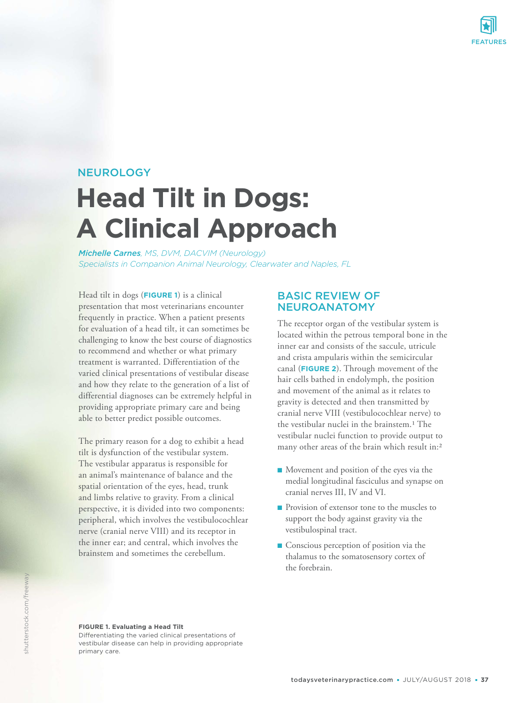

# **Head Tilt in Dogs: A Clinical Approach NEUROLOGY**

*Michelle Carnes, MS, DVM, DACVIM (Neurology) Specialists in Companion Animal Neurology, Clearwater and Naples, FL*

Head tilt in dogs (**FIGURE 1**) is a clinical presentation that most veterinarians encounter frequently in practice. When a patient presents for evaluation of a head tilt, it can sometimes be challenging to know the best course of diagnostics to recommend and whether or what primary treatment is warranted. Differentiation of the varied clinical presentations of vestibular disease and how they relate to the generation of a list of differential diagnoses can be extremely helpful in providing appropriate primary care and being able to better predict possible outcomes.

The primary reason for a dog to exhibit a head tilt is dysfunction of the vestibular system. The vestibular apparatus is responsible for an animal's maintenance of balance and the spatial orientation of the eyes, head, trunk and limbs relative to gravity. From a clinical perspective, it is divided into two components: peripheral, which involves the vestibulocochlear nerve (cranial nerve VIII) and its receptor in the inner ear; and central, which involves the brainstem and sometimes the cerebellum.

# BASIC REVIEW OF NEUROANATOMY

The receptor organ of the vestibular system is located within the petrous temporal bone in the inner ear and consists of the saccule, utricule and crista ampularis within the semicircular canal (**FIGURE 2**). Through movement of the hair cells bathed in endolymph, the position and movement of the animal as it relates to gravity is detected and then transmitted by cranial nerve VIII (vestibulocochlear nerve) to the vestibular nuclei in the brainstem.1 The vestibular nuclei function to provide output to many other areas of the brain which result in:2

- $\blacksquare$  Movement and position of the eyes via the medial longitudinal fasciculus and synapse on cranial nerves III, IV and VI.
- Provision of extensor tone to the muscles to support the body against gravity via the vestibulospinal tract.
- $\blacksquare$  Conscious perception of position via the thalamus to the somatosensory cortex of the forebrain.

**FIGURE 1. Evaluating a Head Tilt** 

Differentiating the varied clinical presentations of vestibular disease can help in providing appropriate primary care.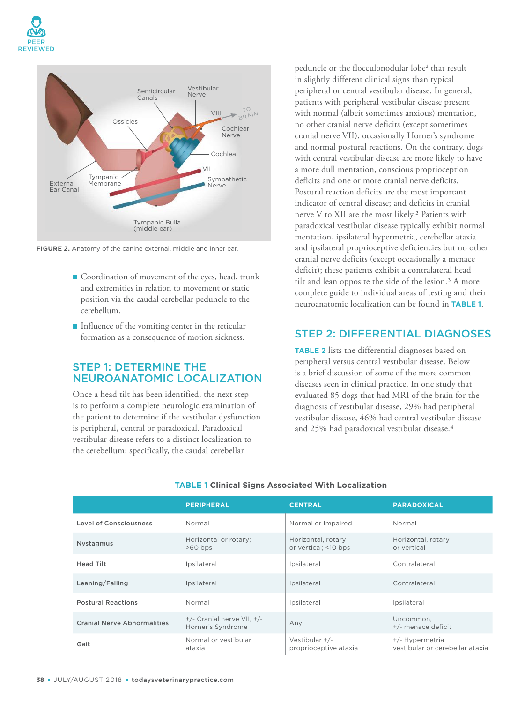



**FIGURE 2.** Anatomy of the canine external, middle and inner ear.

- $\blacksquare$  Coordination of movement of the eyes, head, trunk and extremities in relation to movement or static position via the caudal cerebellar peduncle to the cerebellum.
- $\blacksquare$  Influence of the vomiting center in the reticular formation as a consequence of motion sickness.

#### STEP 1: DETERMINE THE NEUROANATOMIC LOCALIZATION

Once a head tilt has been identified, the next step is to perform a complete neurologic examination of the patient to determine if the vestibular dysfunction is peripheral, central or paradoxical. Paradoxical vestibular disease refers to a distinct localization to the cerebellum: specifically, the caudal cerebellar

peduncle or the flocculonodular lobe<sup>2</sup> that result in slightly different clinical signs than typical peripheral or central vestibular disease. In general, patients with peripheral vestibular disease present with normal (albeit sometimes anxious) mentation, no other cranial nerve deficits (except sometimes cranial nerve VII), occasionally Horner's syndrome and normal postural reactions. On the contrary, dogs with central vestibular disease are more likely to have a more dull mentation, conscious proprioception deficits and one or more cranial nerve deficits. Postural reaction deficits are the most important indicator of central disease; and deficits in cranial nerve V to XII are the most likely.2 Patients with paradoxical vestibular disease typically exhibit normal mentation, ipsilateral hypermetria, cerebellar ataxia and ipsilateral proprioceptive deficiencies but no other cranial nerve deficits (except occasionally a menace deficit); these patients exhibit a contralateral head tilt and lean opposite the side of the lesion.3 A more complete guide to individual areas of testing and their neuroanatomic localization can be found in **TABLE 1**.

# STEP 2: DIFFERENTIAL DIAGNOSES

**TABLE 2** lists the differential diagnoses based on peripheral versus central vestibular disease. Below is a brief discussion of some of the more common diseases seen in clinical practice. In one study that evaluated 85 dogs that had MRI of the brain for the diagnosis of vestibular disease, 29% had peripheral vestibular disease, 46% had central vestibular disease and 25% had paradoxical vestibular disease.4

|                                    | <b>PERIPHERAL</b>                               | <b>CENTRAL</b>                             | <b>PARADOXICAL</b>                                 |
|------------------------------------|-------------------------------------------------|--------------------------------------------|----------------------------------------------------|
| <b>Level of Consciousness</b>      | Normal                                          | Normal or Impaired                         | Normal                                             |
| <b>Nystagmus</b>                   | Horizontal or rotary;<br>$>60$ bps              | Horizontal, rotary<br>or vertical; <10 bps | Horizontal, rotary<br>or vertical                  |
| <b>Head Tilt</b>                   | Ipsilateral                                     | Ipsilateral                                | Contralateral                                      |
| Leaning/Falling                    | Ipsilateral                                     | Ipsilateral                                | Contralateral                                      |
| <b>Postural Reactions</b>          | Normal                                          | Ipsilateral                                | Ipsilateral                                        |
| <b>Cranial Nerve Abnormalities</b> | +/- Cranial nerve VII, +/-<br>Horner's Syndrome | Any                                        | Uncommon,<br>$+/-$ menace deficit                  |
| Gait                               | Normal or vestibular<br>ataxia                  | Vestibular $+/-$<br>proprioceptive ataxia  | +/- Hypermetria<br>vestibular or cerebellar ataxia |

#### **TABLE 1 Clinical Signs Associated With Localization**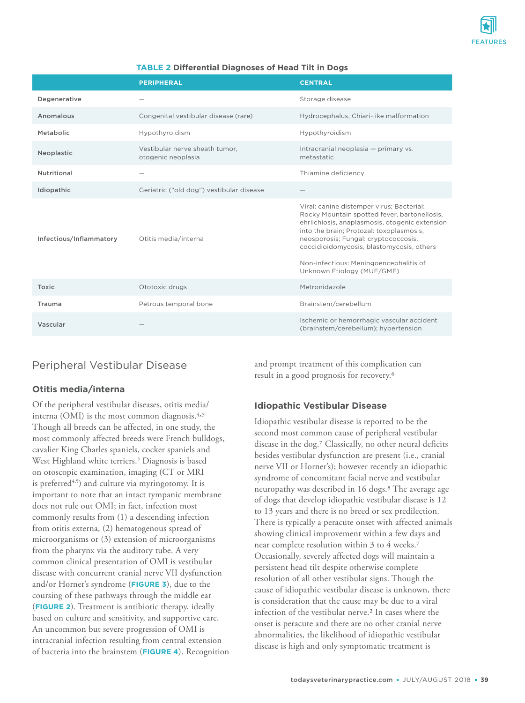

#### **TABLE 2 Differential Diagnoses of Head Tilt in Dogs**

|                         | <b>PERIPHERAL</b>                                    | <b>CENTRAL</b>                                                                                                                                                                                                                                                                                                                                       |
|-------------------------|------------------------------------------------------|------------------------------------------------------------------------------------------------------------------------------------------------------------------------------------------------------------------------------------------------------------------------------------------------------------------------------------------------------|
| Degenerative            |                                                      | Storage disease                                                                                                                                                                                                                                                                                                                                      |
| Anomalous               | Congenital vestibular disease (rare)                 | Hydrocephalus, Chiari-like malformation                                                                                                                                                                                                                                                                                                              |
| Metabolic               | Hypothyroidism                                       | Hypothyroidism                                                                                                                                                                                                                                                                                                                                       |
| Neoplastic              | Vestibular nerve sheath tumor,<br>otogenic neoplasia | Intracranial neoplasia - primary vs.<br>metastatic                                                                                                                                                                                                                                                                                                   |
| Nutritional             |                                                      | Thiamine deficiency                                                                                                                                                                                                                                                                                                                                  |
| Idiopathic              | Geriatric ("old dog") vestibular disease             |                                                                                                                                                                                                                                                                                                                                                      |
| Infectious/Inflammatory | Otitis media/interna                                 | Viral: canine distemper virus; Bacterial:<br>Rocky Mountain spotted fever, bartonellosis,<br>ehrlichiosis, anaplasmosis, otogenic extension<br>into the brain; Protozal: toxoplasmosis,<br>neosporosis; Fungal: cryptococcosis,<br>coccidioidomycosis, blastomycosis, others<br>Non-infectious: Meningoencephalitis of<br>Unknown Etiology (MUE/GME) |
| <b>Toxic</b>            | Ototoxic drugs                                       | Metronidazole                                                                                                                                                                                                                                                                                                                                        |
| Trauma                  | Petrous temporal bone                                | Brainstem/cerebellum                                                                                                                                                                                                                                                                                                                                 |
| Vascular                |                                                      | Ischemic or hemorrhagic vascular accident<br>(brainstem/cerebellum); hypertension                                                                                                                                                                                                                                                                    |

# Peripheral Vestibular Disease

#### **Otitis media/interna**

Of the peripheral vestibular diseases, otitis media/ interna (OMI) is the most common diagnosis.4,5 Though all breeds can be affected, in one study, the most commonly affected breeds were French bulldogs, cavalier King Charles spaniels, cocker spaniels and West Highland white terriers.<sup>5</sup> Diagnosis is based on otoscopic examination, imaging (CT or MRI is preferred<sup> $4,5$ </sup>) and culture via myringotomy. It is important to note that an intact tympanic membrane does not rule out OMI; in fact, infection most commonly results from (1) a descending infection from otitis externa, (2) hematogenous spread of microorganisms or (3) extension of microorganisms from the pharynx via the auditory tube. A very common clinical presentation of OMI is vestibular disease with concurrent cranial nerve VII dysfunction and/or Horner's syndrome (**FIGURE 3**), due to the coursing of these pathways through the middle ear (**FIGURE 2**). Treatment is antibiotic therapy, ideally based on culture and sensitivity, and supportive care. An uncommon but severe progression of OMI is intracranial infection resulting from central extension of bacteria into the brainstem (**FIGURE 4**). Recognition and prompt treatment of this complication can result in a good prognosis for recovery.6

#### **Idiopathic Vestibular Disease**

Idiopathic vestibular disease is reported to be the second most common cause of peripheral vestibular disease in the dog.7 Classically, no other neural deficits besides vestibular dysfunction are present (i.e., cranial nerve VII or Horner's); however recently an idiopathic syndrome of concomitant facial nerve and vestibular neuropathy was described in 16 dogs.<sup>8</sup> The average age of dogs that develop idiopathic vestibular disease is 12 to 13 years and there is no breed or sex predilection. There is typically a peracute onset with affected animals showing clinical improvement within a few days and near complete resolution within 3 to 4 weeks.7 Occasionally, severely affected dogs will maintain a persistent head tilt despite otherwise complete resolution of all other vestibular signs. Though the cause of idiopathic vestibular disease is unknown, there is consideration that the cause may be due to a viral infection of the vestibular nerve.2 In cases where the onset is peracute and there are no other cranial nerve abnormalities, the likelihood of idiopathic vestibular disease is high and only symptomatic treatment is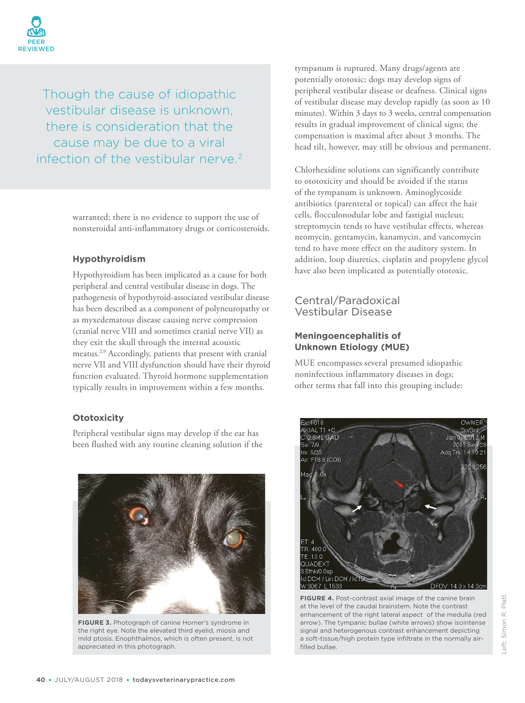

Though the cause of idiopathic vestibular disease is unknown, there is consideration that the cause may be due to a viral infection of the vestibular nerve.<sup>2</sup>

> warranted; there is no evidence to support the use of nonsteroidal anti-inflammatory drugs or corticosteroids.

#### **Hypothyroidism**

Hypothyroidism has been implicated as a cause for both peripheral and central vestibular disease in dogs. The pathogenesis of hypothyroid-associated vestibular disease has been described as a component of polyneuropathy or as myxedematous disease causing nerve compression (cranial nerve VIII and sometimes cranial nerve VII) as they exit the skull through the internal acoustic meatus.2,9 Accordingly, patients that present with cranial nerve VII and VIII dysfunction should have their thyroid function evaluated. Thyroid hormone supplementation typically results in improvement within a few months.

#### **Ototoxicity**

Peripheral vestibular signs may develop if the ear has been flushed with any routine cleaning solution if the



**FIGURE 3.** Photograph of canine Horner's syndrome in the right eye. Note the elevated third eyelid, miosis and mild ptosis. Enophthalmos, which is often present, is not appreciated in this photograph.

tympanum is ruptured. Many drugs/agents are potentially ototoxic; dogs may develop signs of peripheral vestibular disease or deafness. Clinical signs of vestibular disease may develop rapidly (as soon as 10 minutes). Within 3 days to 3 weeks, central compensation results in gradual improvement of clinical signs; the compensation is maximal after about 3 months. The head tilt, however, may still be obvious and permanent.

Chlorhexidine solutions can significantly contribute to ototoxicity and should be avoided if the status of the tympanum is unknown. Aminoglycoside antibiotics (parenteral or topical) can affect the hair cells, flocculonodular lobe and fastigial nucleus; streptomycin tends to have vestibular effects, whereas neomycin, gentamycin, kanamycin, and vancomycin tend to have more effect on the auditory system. In addition, loop diuretics, cisplatin and propylene glycol have also been implicated as potentially ototoxic.

# Central/Paradoxical Vestibular Disease

### **Meningoencephalitis of Unknown Etiology (MUE)**

MUE encompasses several presumed idiopathic noninfectious inflammatory diseases in dogs; other terms that fall into this grouping include:



**FIGURE 4.** Post-contrast axial image of the canine brain at the level of the caudal brainstem. Note the contrast enhancement of the right lateral aspect of the medulla (red arrow). The tympanic bullae (white arrows) show isointense signal and heterogenous contrast enhancement depicting a soft-tissue/high protein type infiltrate in the normally airfilled bullae.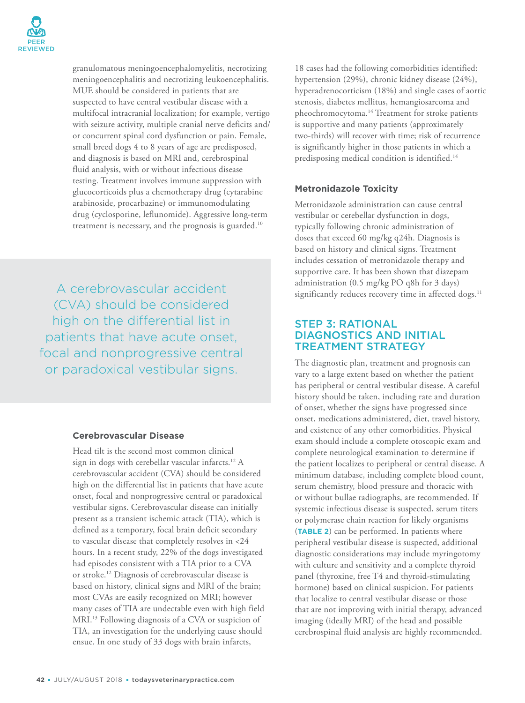

granulomatous meningoencephalomyelitis, necrotizing meningoencephalitis and necrotizing leukoencephalitis. MUE should be considered in patients that are suspected to have central vestibular disease with a multifocal intracranial localization; for example, vertigo with seizure activity, multiple cranial nerve deficits and/ or concurrent spinal cord dysfunction or pain. Female, small breed dogs 4 to 8 years of age are predisposed, and diagnosis is based on MRI and, cerebrospinal fluid analysis, with or without infectious disease testing. Treatment involves immune suppression with glucocorticoids plus a chemotherapy drug (cytarabine arabinoside, procarbazine) or immunomodulating drug (cyclosporine, leflunomide). Aggressive long-term treatment is necessary, and the prognosis is guarded.<sup>10</sup>

A cerebrovascular accident (CVA) should be considered high on the differential list in patients that have acute onset, focal and nonprogressive central or paradoxical vestibular signs.

#### **Cerebrovascular Disease**

Head tilt is the second most common clinical sign in dogs with cerebellar vascular infarcts.<sup>12</sup> A cerebrovascular accident (CVA) should be considered high on the differential list in patients that have acute onset, focal and nonprogressive central or paradoxical vestibular signs. Cerebrovascular disease can initially present as a transient ischemic attack (TIA), which is defined as a temporary, focal brain deficit secondary to vascular disease that completely resolves in <24 hours. In a recent study, 22% of the dogs investigated had episodes consistent with a TIA prior to a CVA or stroke.<sup>12</sup> Diagnosis of cerebrovascular disease is based on history, clinical signs and MRI of the brain; most CVAs are easily recognized on MRI; however many cases of TIA are undectable even with high field MRI.<sup>13</sup> Following diagnosis of a CVA or suspicion of TIA, an investigation for the underlying cause should ensue. In one study of 33 dogs with brain infarcts,

18 cases had the following comorbidities identified: hypertension (29%), chronic kidney disease (24%), hyperadrenocorticism (18%) and single cases of aortic stenosis, diabetes mellitus, hemangiosarcoma and pheochromocytoma.<sup>14</sup> Treatment for stroke patients is supportive and many patients (approximately two-thirds) will recover with time; risk of recurrence is significantly higher in those patients in which a predisposing medical condition is identified.<sup>14</sup>

#### **Metronidazole Toxicity**

Metronidazole administration can cause central vestibular or cerebellar dysfunction in dogs, typically following chronic administration of doses that exceed 60 mg/kg q24h. Diagnosis is based on history and clinical signs. Treatment includes cessation of metronidazole therapy and supportive care. It has been shown that diazepam administration (0.5 mg/kg PO q8h for 3 days) significantly reduces recovery time in affected dogs.<sup>11</sup>

## STEP 3: RATIONAL DIAGNOSTICS AND INITIAL TREATMENT STRATEGY

The diagnostic plan, treatment and prognosis can vary to a large extent based on whether the patient has peripheral or central vestibular disease. A careful history should be taken, including rate and duration of onset, whether the signs have progressed since onset, medications administered, diet, travel history, and existence of any other comorbidities. Physical exam should include a complete otoscopic exam and complete neurological examination to determine if the patient localizes to peripheral or central disease. A minimum database, including complete blood count, serum chemistry, blood pressure and thoracic with or without bullae radiographs, are recommended. If systemic infectious disease is suspected, serum titers or polymerase chain reaction for likely organisms (**TABLE 2**) can be performed. In patients where peripheral vestibular disease is suspected, additional diagnostic considerations may include myringotomy with culture and sensitivity and a complete thyroid panel (thyroxine, free T4 and thyroid-stimulating hormone) based on clinical suspicion. For patients that localize to central vestibular disease or those that are not improving with initial therapy, advanced imaging (ideally MRI) of the head and possible cerebrospinal fluid analysis are highly recommended.